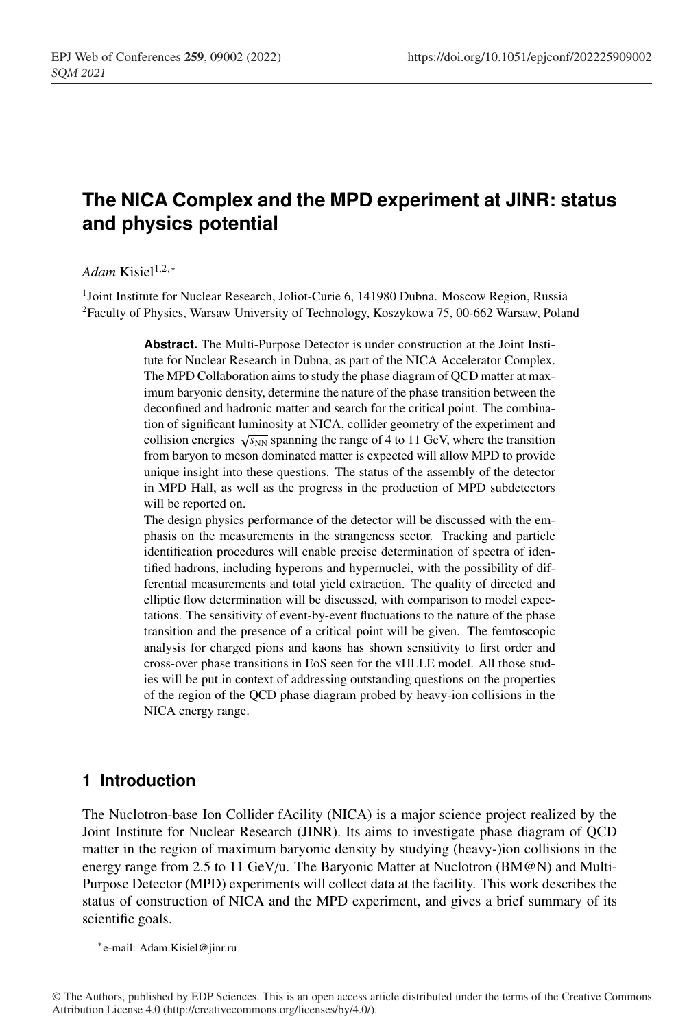# **The NICA Complex and the MPD experiment at JINR: status and physics potential**

#### *Adam* Kisiel<sup>1,2,∗</sup>

<sup>1</sup>Joint Institute for Nuclear Research, Joliot-Curie 6, 141980 Dubna. Moscow Region, Russia 2Faculty of Physics, Warsaw University of Technology, Koszykowa 75, 00-662 Warsaw, Poland

> **Abstract.** The Multi-Purpose Detector is under construction at the Joint Institute for Nuclear Research in Dubna, as part of the NICA Accelerator Complex. The MPD Collaboration aims to study the phase diagram of QCD matter at maximum baryonic density, determine the nature of the phase transition between the deconfined and hadronic matter and search for the critical point. The combination of significant luminosity at NICA, collider geometry of the experiment and collision energies  $\sqrt{s_{NN}}$  spanning the range of 4 to 11 GeV, where the transition from baryon to meson dominated matter is expected will allow MPD to provide unique insight into these questions. The status of the assembly of the detector in MPD Hall, as well as the progress in the production of MPD subdetectors will be reported on.

> The design physics performance of the detector will be discussed with the emphasis on the measurements in the strangeness sector. Tracking and particle identification procedures will enable precise determination of spectra of identified hadrons, including hyperons and hypernuclei, with the possibility of differential measurements and total yield extraction. The quality of directed and elliptic flow determination will be discussed, with comparison to model expectations. The sensitivity of event-by-event fluctuations to the nature of the phase transition and the presence of a critical point will be given. The femtoscopic analysis for charged pions and kaons has shown sensitivity to first order and cross-over phase transitions in EoS seen for the vHLLE model. All those studies will be put in context of addressing outstanding questions on the properties of the region of the QCD phase diagram probed by heavy-ion collisions in the NICA energy range.

# **1 Introduction**

The Nuclotron-base Ion Collider fAcility (NICA) is a major science project realized by the Joint Institute for Nuclear Research (JINR). Its aims to investigate phase diagram of QCD matter in the region of maximum baryonic density by studying (heavy-)ion collisions in the energy range from 2.5 to 11 GeV/u. The Baryonic Matter at Nuclotron (BM@N) and Multi-Purpose Detector (MPD) experiments will collect data at the facility. This work describes the status of construction of NICA and the MPD experiment, and gives a brief summary of its scientific goals.

<sup>∗</sup>e-mail: Adam.Kisiel@jinr.ru

<sup>©</sup> The Authors, published by EDP Sciences. This is an open access article distributed under the terms of the Creative Commons Attribution License 4.0 (http://creativecommons.org/licenses/by/4.0/).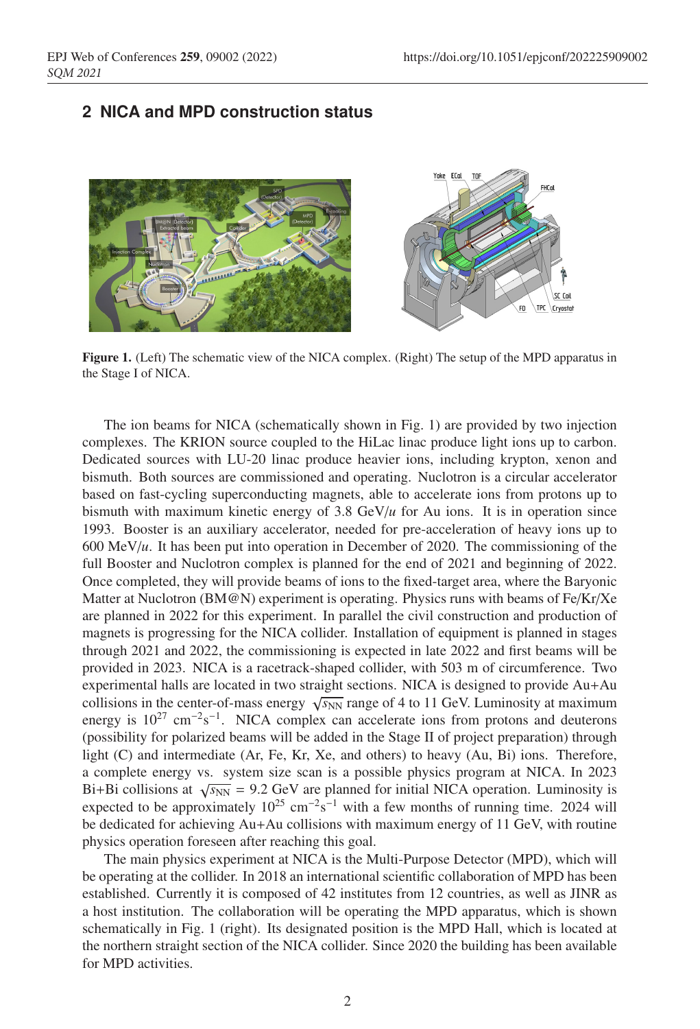# **2 NICA and MPD construction status**



Figure 1. (Left) The schematic view of the NICA complex. (Right) The setup of the MPD apparatus in the Stage I of NICA.

The ion beams for NICA (schematically shown in Fig. 1) are provided by two injection complexes. The KRION source coupled to the HiLac linac produce light ions up to carbon. Dedicated sources with LU-20 linac produce heavier ions, including krypton, xenon and bismuth. Both sources are commissioned and operating. Nuclotron is a circular accelerator based on fast-cycling superconducting magnets, able to accelerate ions from protons up to bismuth with maximum kinetic energy of 3.8  $GeV/u$  for Au ions. It is in operation since 1993. Booster is an auxiliary accelerator, needed for pre-acceleration of heavy ions up to 600 MeV/*u*. It has been put into operation in December of 2020. The commissioning of the full Booster and Nuclotron complex is planned for the end of 2021 and beginning of 2022. Once completed, they will provide beams of ions to the fixed-target area, where the Baryonic Matter at Nuclotron (BM@N) experiment is operating. Physics runs with beams of Fe/Kr/Xe are planned in 2022 for this experiment. In parallel the civil construction and production of magnets is progressing for the NICA collider. Installation of equipment is planned in stages through 2021 and 2022, the commissioning is expected in late 2022 and first beams will be provided in 2023. NICA is a racetrack-shaped collider, with 503 m of circumference. Two experimental halls are located in two straight sections. NICA is designed to provide Au+Au collisions in the center-of-mass energy  $\sqrt{s_{NN}}$  range of 4 to 11 GeV. Luminosity at maximum energy is  $10^{27}$  cm<sup>-2</sup>s<sup>-1</sup>. NICA complex can accelerate ions from protons and deuterons (possibility for polarized beams will be added in the Stage II of project preparation) through light (C) and intermediate (Ar, Fe, Kr, Xe, and others) to heavy (Au, Bi) ions. Therefore, a complete energy vs. system size scan is a possible physics program at NICA. In 2023 Bi+Bi collisions at  $\sqrt{s_{NN}}$  = 9.2 GeV are planned for initial NICA operation. Luminosity is expected to be approximately  $10^{25}$  cm<sup>-2</sup>s<sup>-1</sup> with a few months of running time. 2024 will be dedicated for achieving Au+Au collisions with maximum energy of 11 GeV, with routine physics operation foreseen after reaching this goal.

The main physics experiment at NICA is the Multi-Purpose Detector (MPD), which will be operating at the collider. In 2018 an international scientific collaboration of MPD has been established. Currently it is composed of 42 institutes from 12 countries, as well as JINR as a host institution. The collaboration will be operating the MPD apparatus, which is shown schematically in Fig. 1 (right). Its designated position is the MPD Hall, which is located at the northern straight section of the NICA collider. Since 2020 the building has been available for MPD activities.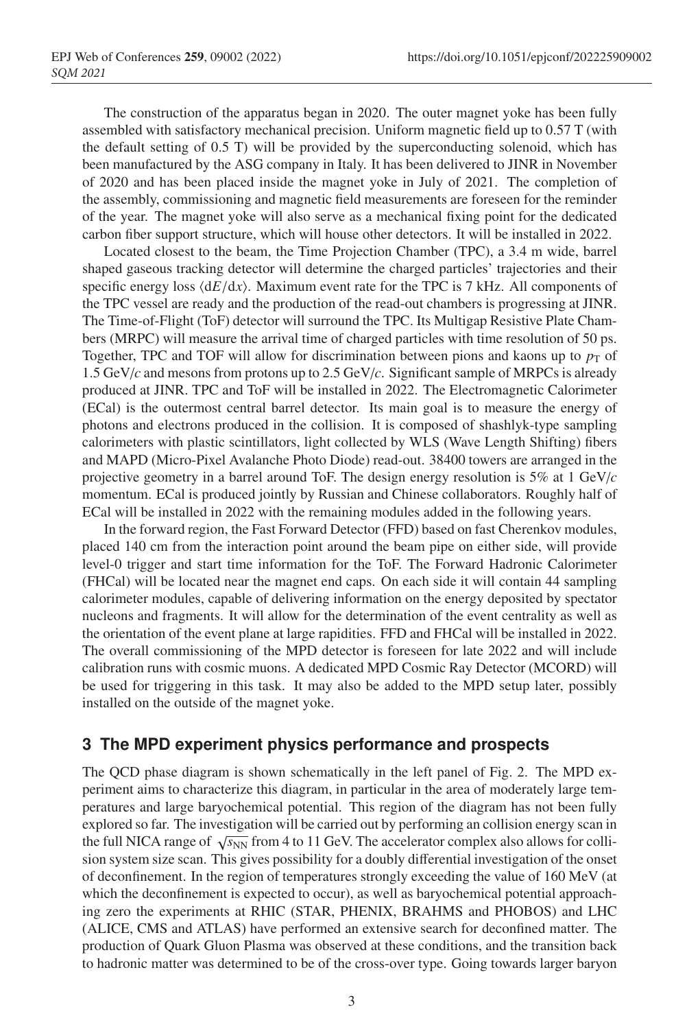The construction of the apparatus began in 2020. The outer magnet yoke has been fully assembled with satisfactory mechanical precision. Uniform magnetic field up to 0.57 T (with the default setting of 0.5 T) will be provided by the superconducting solenoid, which has been manufactured by the ASG company in Italy. It has been delivered to JINR in November of 2020 and has been placed inside the magnet yoke in July of 2021. The completion of the assembly, commissioning and magnetic field measurements are foreseen for the reminder of the year. The magnet yoke will also serve as a mechanical fixing point for the dedicated carbon fiber support structure, which will house other detectors. It will be installed in 2022.

Located closest to the beam, the Time Projection Chamber (TPC), a 3.4 m wide, barrel shaped gaseous tracking detector will determine the charged particles' trajectories and their specific energy loss  $\langle dE/dx \rangle$ . Maximum event rate for the TPC is 7 kHz. All components of the TPC vessel are ready and the production of the read-out chambers is progressing at JINR. The Time-of-Flight (ToF) detector will surround the TPC. Its Multigap Resistive Plate Chambers (MRPC) will measure the arrival time of charged particles with time resolution of 50 ps. Together, TPC and TOF will allow for discrimination between pions and kaons up to  $p<sub>T</sub>$  of 1.5 GeV/*c* and mesons from protons up to 2.5 GeV/*c*. Significant sample of MRPCs is already produced at JINR. TPC and ToF will be installed in 2022. The Electromagnetic Calorimeter (ECal) is the outermost central barrel detector. Its main goal is to measure the energy of photons and electrons produced in the collision. It is composed of shashlyk-type sampling calorimeters with plastic scintillators, light collected by WLS (Wave Length Shifting) fibers and MAPD (Micro-Pixel Avalanche Photo Diode) read-out. 38400 towers are arranged in the projective geometry in a barrel around ToF. The design energy resolution is 5% at 1 GeV/*c* momentum. ECal is produced jointly by Russian and Chinese collaborators. Roughly half of ECal will be installed in 2022 with the remaining modules added in the following years.

In the forward region, the Fast Forward Detector (FFD) based on fast Cherenkov modules, placed 140 cm from the interaction point around the beam pipe on either side, will provide level-0 trigger and start time information for the ToF. The Forward Hadronic Calorimeter (FHCal) will be located near the magnet end caps. On each side it will contain 44 sampling calorimeter modules, capable of delivering information on the energy deposited by spectator nucleons and fragments. It will allow for the determination of the event centrality as well as the orientation of the event plane at large rapidities. FFD and FHCal will be installed in 2022. The overall commissioning of the MPD detector is foreseen for late 2022 and will include calibration runs with cosmic muons. A dedicated MPD Cosmic Ray Detector (MCORD) will be used for triggering in this task. It may also be added to the MPD setup later, possibly installed on the outside of the magnet yoke.

# **3 The MPD experiment physics performance and prospects**

The QCD phase diagram is shown schematically in the left panel of Fig. 2. The MPD experiment aims to characterize this diagram, in particular in the area of moderately large temperatures and large baryochemical potential. This region of the diagram has not been fully explored so far. The investigation will be carried out by performing an collision energy scan in the full NICA range of  $\sqrt{s_{NN}}$  from 4 to 11 GeV. The accelerator complex also allows for collision system size scan. This gives possibility for a doubly differential investigation of the onset of deconfinement. In the region of temperatures strongly exceeding the value of 160 MeV (at which the deconfinement is expected to occur), as well as baryochemical potential approaching zero the experiments at RHIC (STAR, PHENIX, BRAHMS and PHOBOS) and LHC (ALICE, CMS and ATLAS) have performed an extensive search for deconfined matter. The production of Quark Gluon Plasma was observed at these conditions, and the transition back to hadronic matter was determined to be of the cross-over type. Going towards larger baryon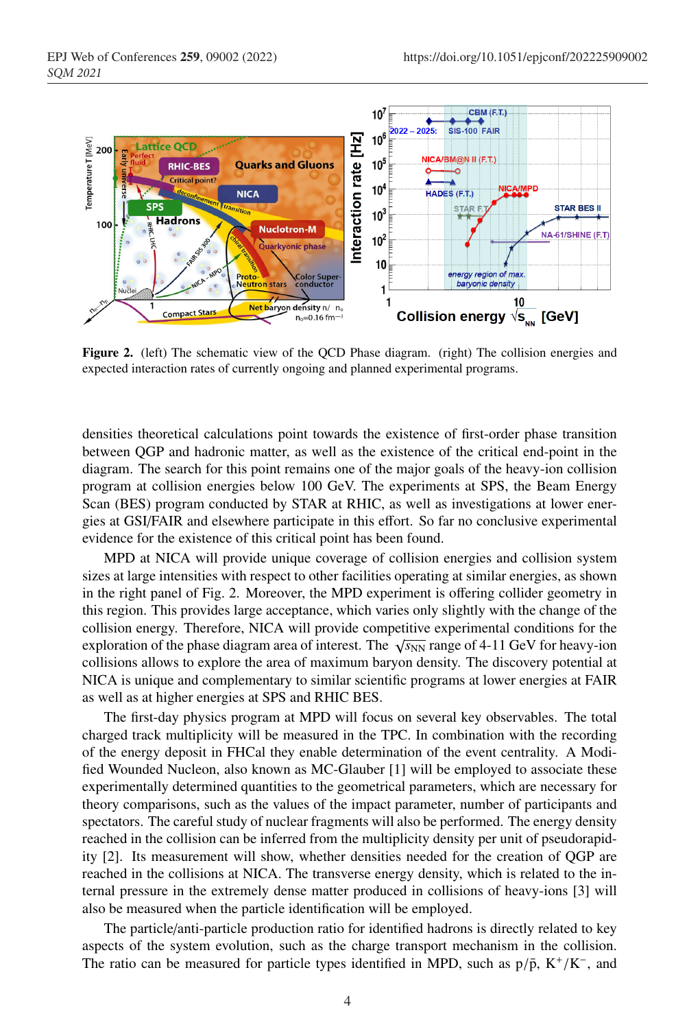

Figure 2. (left) The schematic view of the QCD Phase diagram. (right) The collision energies and expected interaction rates of currently ongoing and planned experimental programs.

densities theoretical calculations point towards the existence of first-order phase transition between QGP and hadronic matter, as well as the existence of the critical end-point in the diagram. The search for this point remains one of the major goals of the heavy-ion collision program at collision energies below 100 GeV. The experiments at SPS, the Beam Energy Scan (BES) program conducted by STAR at RHIC, as well as investigations at lower energies at GSI/FAIR and elsewhere participate in this effort. So far no conclusive experimental evidence for the existence of this critical point has been found.

MPD at NICA will provide unique coverage of collision energies and collision system sizes at large intensities with respect to other facilities operating at similar energies, as shown in the right panel of Fig. 2. Moreover, the MPD experiment is offering collider geometry in this region. This provides large acceptance, which varies only slightly with the change of the collision energy. Therefore, NICA will provide competitive experimental conditions for the exploration of the phase diagram area of interest. The  $\sqrt{s_{NN}}$  range of 4-11 GeV for heavy-ion collisions allows to explore the area of maximum baryon density. The discovery potential at NICA is unique and complementary to similar scientific programs at lower energies at FAIR as well as at higher energies at SPS and RHIC BES.

The first-day physics program at MPD will focus on several key observables. The total charged track multiplicity will be measured in the TPC. In combination with the recording of the energy deposit in FHCal they enable determination of the event centrality. A Modified Wounded Nucleon, also known as MC-Glauber [1] will be employed to associate these experimentally determined quantities to the geometrical parameters, which are necessary for theory comparisons, such as the values of the impact parameter, number of participants and spectators. The careful study of nuclear fragments will also be performed. The energy density reached in the collision can be inferred from the multiplicity density per unit of pseudorapidity [2]. Its measurement will show, whether densities needed for the creation of QGP are reached in the collisions at NICA. The transverse energy density, which is related to the internal pressure in the extremely dense matter produced in collisions of heavy-ions [3] will also be measured when the particle identification will be employed.

The particle/anti-particle production ratio for identified hadrons is directly related to key aspects of the system evolution, such as the charge transport mechanism in the collision. The ratio can be measured for particle types identified in MPD, such as  $p/\bar{p}$ , K<sup>+</sup>/K<sup>-</sup>, and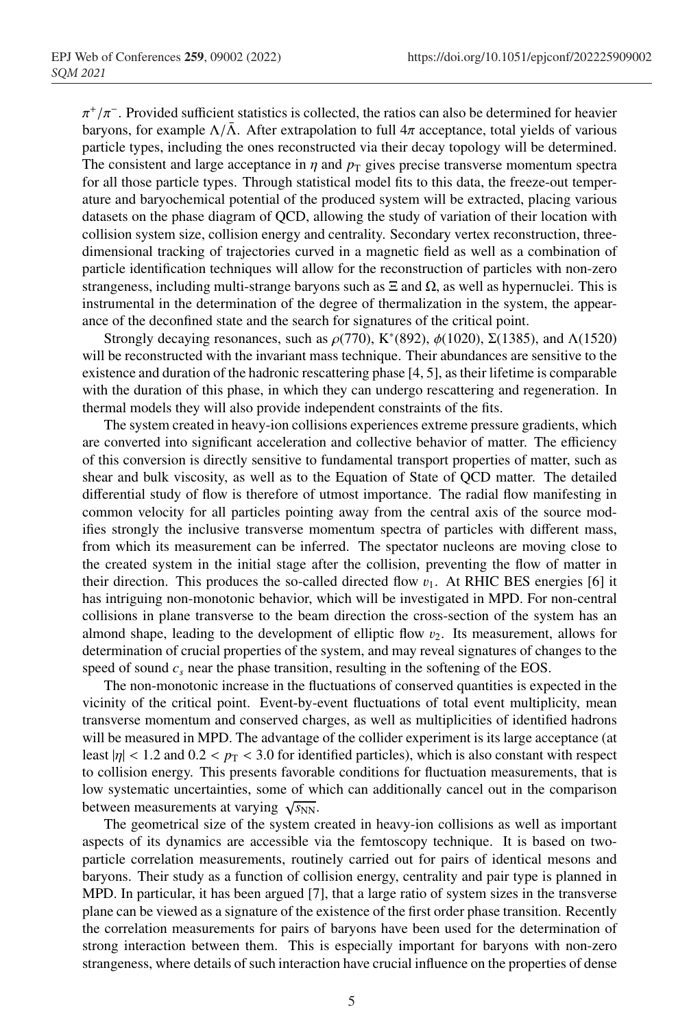$\pi^+/\pi^-$ . Provided sufficient statistics is collected, the ratios can also be determined for heavier baryons, for example  $\Lambda/\bar{\Lambda}$ . After extrapolation to full  $4\pi$  acceptance, total yields of various particle types, including the ones reconstructed via their decay topology will be determined. The consistent and large acceptance in  $\eta$  and  $p<sub>T</sub>$  gives precise transverse momentum spectra for all those particle types. Through statistical model fits to this data, the freeze-out temperature and baryochemical potential of the produced system will be extracted, placing various datasets on the phase diagram of QCD, allowing the study of variation of their location with collision system size, collision energy and centrality. Secondary vertex reconstruction, threedimensional tracking of trajectories curved in a magnetic field as well as a combination of particle identification techniques will allow for the reconstruction of particles with non-zero strangeness, including multi-strange baryons such as  $\Xi$  and  $\Omega$ , as well as hypernuclei. This is instrumental in the determination of the degree of thermalization in the system, the appearance of the deconfined state and the search for signatures of the critical point.

Strongly decaying resonances, such as  $\rho(770)$ , K<sup>\*</sup>(892),  $\phi(1020)$ , Σ(1385), and Λ(1520) will be reconstructed with the invariant mass technique. Their abundances are sensitive to the existence and duration of the hadronic rescattering phase [4, 5], as their lifetime is comparable with the duration of this phase, in which they can undergo rescattering and regeneration. In thermal models they will also provide independent constraints of the fits.

The system created in heavy-ion collisions experiences extreme pressure gradients, which are converted into significant acceleration and collective behavior of matter. The efficiency of this conversion is directly sensitive to fundamental transport properties of matter, such as shear and bulk viscosity, as well as to the Equation of State of QCD matter. The detailed differential study of flow is therefore of utmost importance. The radial flow manifesting in common velocity for all particles pointing away from the central axis of the source modifies strongly the inclusive transverse momentum spectra of particles with different mass, from which its measurement can be inferred. The spectator nucleons are moving close to the created system in the initial stage after the collision, preventing the flow of matter in their direction. This produces the so-called directed flow  $v_1$ . At RHIC BES energies [6] it has intriguing non-monotonic behavior, which will be investigated in MPD. For non-central collisions in plane transverse to the beam direction the cross-section of the system has an almond shape, leading to the development of elliptic flow  $v_2$ . Its measurement, allows for determination of crucial properties of the system, and may reveal signatures of changes to the speed of sound  $c_s$  near the phase transition, resulting in the softening of the EOS.

The non-monotonic increase in the fluctuations of conserved quantities is expected in the vicinity of the critical point. Event-by-event fluctuations of total event multiplicity, mean transverse momentum and conserved charges, as well as multiplicities of identified hadrons will be measured in MPD. The advantage of the collider experiment is its large acceptance (at least  $|\eta| < 1.2$  and  $0.2 < p<sub>T</sub> < 3.0$  for identified particles), which is also constant with respect to collision energy. This presents favorable conditions for fluctuation measurements, that is low systematic uncertainties, some of which can additionally cancel out in the comparison between measurements at varying  $\sqrt{s_{NN}}$ .

The geometrical size of the system created in heavy-ion collisions as well as important aspects of its dynamics are accessible via the femtoscopy technique. It is based on twoparticle correlation measurements, routinely carried out for pairs of identical mesons and baryons. Their study as a function of collision energy, centrality and pair type is planned in MPD. In particular, it has been argued [7], that a large ratio of system sizes in the transverse plane can be viewed as a signature of the existence of the first order phase transition. Recently the correlation measurements for pairs of baryons have been used for the determination of strong interaction between them. This is especially important for baryons with non-zero strangeness, where details of such interaction have crucial influence on the properties of dense